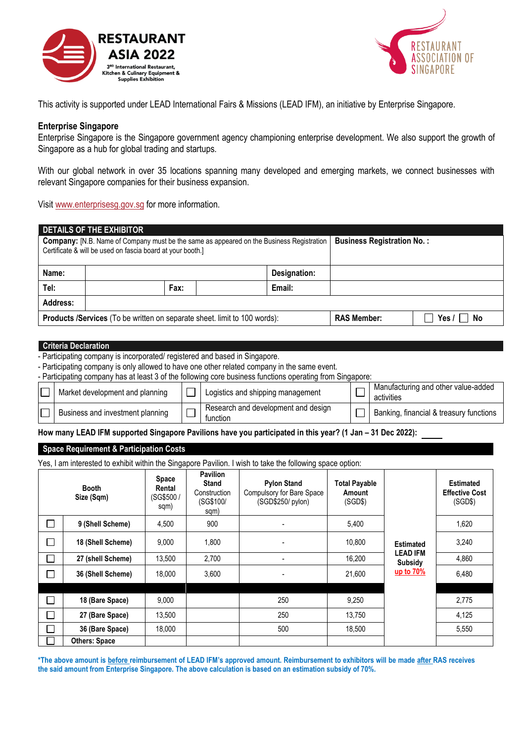



This activity is supported under LEAD International Fairs & Missions (LEAD IFM), an initiative by Enterprise Singapore.

# **Enterprise Singapore**

Enterprise Singapore is the Singapore government agency championing enterprise development. We also support the growth of Singapore as a hub for global trading and startups.

With our global network in over 35 locations spanning many developed and emerging markets, we connect businesses with relevant Singapore companies for their business expansion.

Visit [www.enterprisesg.gov.sg](http://www.enterprisesg.gov.sg/) for more information.

| DETAILS OF THE EXHIBITOR |                                                                                                                                                               |                                   |                       |  |  |  |  |
|--------------------------|---------------------------------------------------------------------------------------------------------------------------------------------------------------|-----------------------------------|-----------------------|--|--|--|--|
|                          | <b>Company:</b> [N.B. Name of Company must be the same as appeared on the Business Registration<br>Certificate & will be used on fascia board at your booth.] | <b>Business Registration No.:</b> |                       |  |  |  |  |
| Name:                    |                                                                                                                                                               | Designation:                      |                       |  |  |  |  |
| Tel:                     | Fax:                                                                                                                                                          | Email:                            |                       |  |  |  |  |
| Address:                 |                                                                                                                                                               |                                   |                       |  |  |  |  |
|                          | <b>Products /Services (To be written on separate sheet. limit to 100 words):</b>                                                                              | <b>RAS Member:</b>                | Yes $\sqrt{}$<br>∣ No |  |  |  |  |

# **Criteria Declaration**

- Participating company is incorporated/ registered and based in Singapore.

- Participating company is only allowed to have one other related company in the same event.

- Participating company has at least 3 of the following core business functions operating from Singapore:

| Market development and planning  | Logistics and shipping management               | Manufacturing and other value-added<br>activities |
|----------------------------------|-------------------------------------------------|---------------------------------------------------|
| Business and investment planning | Research and development and design<br>function | Banking, financial & treasury functions           |

How many LEAD IFM supported Singapore Pavilions have you participated in this year? (1 Jan – 31 Dec 2022):

# **Space Requirement & Participation Costs**

Yes, I am interested to exhibit within the Singapore Pavilion. I wish to take the following space option:

| <b>Booth</b><br>Size (Sqm)  |                      | <b>Space</b><br>Rental<br>(SG\$500/<br>sqm) | <b>Pavilion</b><br><b>Stand</b><br>Construction<br>(SG\$100/<br>sqm) | <b>Pylon Stand</b><br>Compulsory for Bare Space<br>(SGD\$250/ pylon) | Total Payable<br>Amount<br>(SGD\$) |                                   | <b>Estimated</b><br><b>Effective Cost</b><br>(SGD\$) |
|-----------------------------|----------------------|---------------------------------------------|----------------------------------------------------------------------|----------------------------------------------------------------------|------------------------------------|-----------------------------------|------------------------------------------------------|
| ┐                           | 9 (Shell Scheme)     | 4,500                                       | 900                                                                  |                                                                      | 5,400                              |                                   | 1,620                                                |
| $\mathcal{L}_{\mathcal{A}}$ | 18 (Shell Scheme)    | 9,000                                       | 1,800                                                                |                                                                      | 10,800                             | <b>Estimated</b>                  | 3,240                                                |
| $\overline{\phantom{0}}$    | 27 (shell Scheme)    | 13,500                                      | 2,700                                                                |                                                                      | 16,200                             | <b>LEAD IFM</b><br><b>Subsidy</b> | 4,860                                                |
| П                           | 36 (Shell Scheme)    | 18.000                                      | 3,600                                                                |                                                                      | 21,600                             | <u>up to 70%</u>                  | 6,480                                                |
|                             |                      |                                             |                                                                      |                                                                      |                                    |                                   |                                                      |
| П                           | 18 (Bare Space)      | 9,000                                       |                                                                      | 250                                                                  | 9,250                              |                                   | 2,775                                                |
| ┐                           | 27 (Bare Space)      | 13,500                                      |                                                                      | 250                                                                  | 13,750                             |                                   | 4,125                                                |
| J.                          | 36 (Bare Space)      | 18,000                                      |                                                                      | 500                                                                  | 18,500                             |                                   | 5,550                                                |
|                             | <b>Others: Space</b> |                                             |                                                                      |                                                                      |                                    |                                   |                                                      |

**\*The above amount is before reimbursement of LEAD IFM's approved amount. Reimbursement to exhibitors will be made after RAS receives the said amount from Enterprise Singapore. The above calculation is based on an estimation subsidy of 70%.**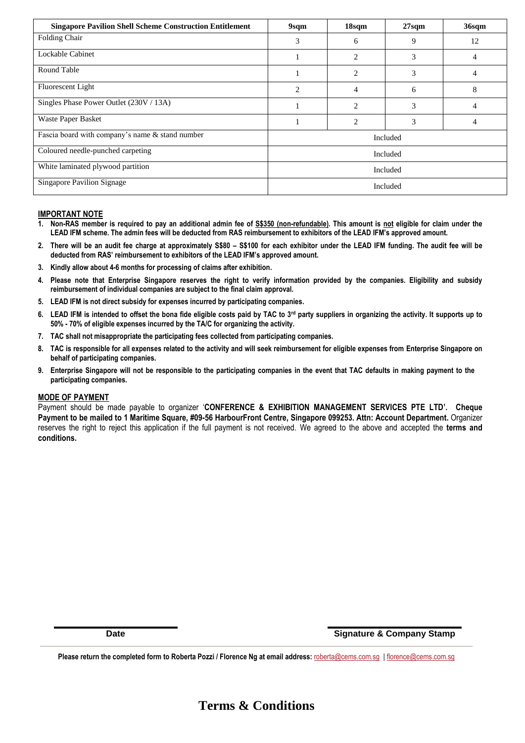| <b>Singapore Pavilion Shell Scheme Construction Entitlement</b> | 9sqm           | 18sqm                       | 27 <sub>sqm</sub> | 36sqm          |  |
|-----------------------------------------------------------------|----------------|-----------------------------|-------------------|----------------|--|
| Folding Chair                                                   | 3              | 6                           | 9                 | 12             |  |
| Lockable Cabinet                                                |                | 2                           | 3                 | $\overline{4}$ |  |
| Round Table                                                     |                | $\overline{c}$              | 3                 | 4              |  |
| Fluorescent Light                                               | $\overline{2}$ | 4                           | 6                 | 8              |  |
| Singles Phase Power Outlet (230V / 13A)                         |                | $\mathcal{D}_{\mathcal{L}}$ | 3                 | 4              |  |
| Waste Paper Basket                                              |                | $\overline{c}$              | 3                 | $\overline{4}$ |  |
| Fascia board with company's name & stand number                 | Included       |                             |                   |                |  |
| Coloured needle-punched carpeting                               | Included       |                             |                   |                |  |
| White laminated plywood partition                               | Included       |                             |                   |                |  |
| <b>Singapore Pavilion Signage</b>                               | Included       |                             |                   |                |  |

# **IMPORTANT NOTE**

- **1. Non-RAS member is required to pay an additional admin fee of S\$350 (non-refundable). This amount is not eligible for claim under the LEAD IFM scheme. The admin fees will be deducted from RAS reimbursement to exhibitors of the LEAD IFM's approved amount.**
- **2. There will be an audit fee charge at approximately S\$80 – S\$100 for each exhibitor under the LEAD IFM funding. The audit fee will be deducted from RAS' reimbursement to exhibitors of the LEAD IFM's approved amount.**
- **3. Kindly allow about 4-6 months for processing of claims after exhibition.**
- **4. Please note that Enterprise Singapore reserves the right to verify information provided by the companies. Eligibility and subsidy reimbursement of individual companies are subject to the final claim approval.**
- **5. LEAD IFM is not direct subsidy for expenses incurred by participating companies.**
- **6. LEAD IFM is intended to offset the bona fide eligible costs paid by TAC to 3rd party suppliers in organizing the activity. It supports up to 50% - 70% of eligible expenses incurred by the TA/C for organizing the activity.**
- **7. TAC shall not misappropriate the participating fees collected from participating companies.**
- **8. TAC is responsible for all expenses related to the activity and will seek reimbursement for eligible expenses from Enterprise Singapore on behalf of participating companies.**
- **9. Enterprise Singapore will not be responsible to the participating companies in the event that TAC defaults in making payment to the participating companies.**

## **MODE OF PAYMENT**

Payment should be made payable to organizer '**CONFERENCE & EXHIBITION MANAGEMENT SERVICES PTE LTD'. Cheque Payment to be mailed to 1 Maritime Square, #09-56 HarbourFront Centre, Singapore 099253. Attn: Account Department.** Organizer reserves the right to reject this application if the full payment is not received. We agreed to the above and accepted the **terms and conditions.**

**Date Signature & Company Stamp**

**Please return the completed form to Roberta Pozzi / Florence Ng at email address:** [roberta@cems.com.sg](mailto:roberta@cems.com.sg) [| florence@cems.com.sg](mailto:florence@cems.com.sg)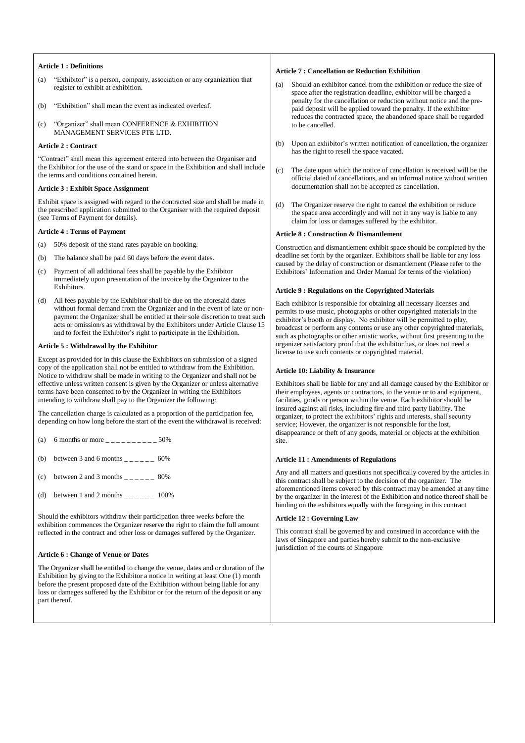#### **Article 1 : Definitions**

- (a) "Exhibitor" is a person, company, association or any organization that register to exhibit at exhibition.
- (b) "Exhibition" shall mean the event as indicated overleaf.
- (c) "Organizer" shall mean CONFERENCE & EXHIBITION MANAGEMENT SERVICES PTE LTD.

#### **Article 2 : Contract**

"Contract" shall mean this agreement entered into between the Organiser and the Exhibitor for the use of the stand or space in the Exhibition and shall include the terms and conditions contained herein.

## **Article 3 : Exhibit Space Assignment**

Exhibit space is assigned with regard to the contracted size and shall be made in the prescribed application submitted to the Organiser with the required deposit (see Terms of Payment for details).

#### **Article 4 : Terms of Payment**

- (a) 50% deposit of the stand rates payable on booking.
- (b) The balance shall be paid 60 days before the event dates.
- (c) Payment of all additional fees shall be payable by the Exhibitor immediately upon presentation of the invoice by the Organizer to the Exhibitors.
- (d) All fees payable by the Exhibitor shall be due on the aforesaid dates without formal demand from the Organizer and in the event of late or nonpayment the Organizer shall be entitled at their sole discretion to treat such acts or omission/s as withdrawal by the Exhibitors under Article Clause 15 and to forfeit the Exhibitor's right to participate in the Exhibition.

#### **Article 5 : Withdrawal by the Exhibitor**

Except as provided for in this clause the Exhibitors on submission of a signed copy of the application shall not be entitled to withdraw from the Exhibition. Notice to withdraw shall be made in writing to the Organizer and shall not be effective unless written consent is given by the Organizer or unless alternative terms have been consented to by the Organizer in writing the Exhibitors intending to withdraw shall pay to the Organizer the following:

The cancellation charge is calculated as a proportion of the participation fee, depending on how long before the start of the event the withdrawal is received:

- (a) 6 months or more  $\frac{1}{2}$  =  $\frac{1}{2}$  =  $\frac{1}{2}$  =  $\frac{50\%}{2}$
- (b) between 3 and 6 months  $\frac{1}{2}$  =  $\frac{1}{2}$  =  $\frac{60\%}{2}$
- (c) between 2 and 3 months  $\frac{2}{2}$  =  $\frac{1}{2}$  = 80%
- (d) between 1 and 2 months  $\frac{1}{2}$  =  $\frac{100\%}{2}$

Should the exhibitors withdraw their participation three weeks before the exhibition commences the Organizer reserve the right to claim the full amount reflected in the contract and other loss or damages suffered by the Organizer.

# **Article 6 : Change of Venue or Dates**

The Organizer shall be entitled to change the venue, dates and or duration of the Exhibition by giving to the Exhibitor a notice in writing at least One (1) month before the present proposed date of the Exhibition without being liable for any loss or damages suffered by the Exhibitor or for the return of the deposit or any part thereof.

#### **Article 7 : Cancellation or Reduction Exhibition**

- Should an exhibitor cancel from the exhibition or reduce the size of space after the registration deadline, exhibitor will be charged a penalty for the cancellation or reduction without notice and the prepaid deposit will be applied toward the penalty. If the exhibitor reduces the contracted space, the abandoned space shall be regarded to be cancelled.
- (b) Upon an exhibitor's written notification of cancellation, the organizer has the right to resell the space vacated.
- (c) The date upon which the notice of cancellation is received will be the official dated of cancellations, and an informal notice without written documentation shall not be accepted as cancellation.
- (d) The Organizer reserve the right to cancel the exhibition or reduce the space area accordingly and will not in any way is liable to any claim for loss or damages suffered by the exhibitor.

#### **Article 8 : Construction & Dismantlement**

Construction and dismantlement exhibit space should be completed by the deadline set forth by the organizer. Exhibitors shall be liable for any loss caused by the delay of construction or dismantlement (Please refer to the Exhibitors' Information and Order Manual for terms of the violation)

# **Article 9 : Regulations on the Copyrighted Materials**

Each exhibitor is responsible for obtaining all necessary licenses and permits to use music, photographs or other copyrighted materials in the exhibitor's booth or display. No exhibitor will be permitted to play, broadcast or perform any contents or use any other copyrighted materials, such as photographs or other artistic works, without first presenting to the organizer satisfactory proof that the exhibitor has, or does not need a license to use such contents or copyrighted material.

#### **Article 10: Liability & Insurance**

Exhibitors shall be liable for any and all damage caused by the Exhibitor or their employees, agents or contractors, to the venue or to and equipment, facilities, goods or person within the venue. Each exhibitor should be insured against all risks, including fire and third party liability. The organizer, to protect the exhibitors' rights and interests, shall security service; However, the organizer is not responsible for the lost, disappearance or theft of any goods, material or objects at the exhibition site.

### **Article 11 : Amendments of Regulations**

Any and all matters and questions not specifically covered by the articles in this contract shall be subject to the decision of the organizer. The aforementioned items covered by this contract may be amended at any time by the organizer in the interest of the Exhibition and notice thereof shall be binding on the exhibitors equally with the foregoing in this contract

## **Article 12 : Governing Law**

This contract shall be governed by and construed in accordance with the laws of Singapore and parties hereby submit to the non-exclusive jurisdiction of the courts of Singapore